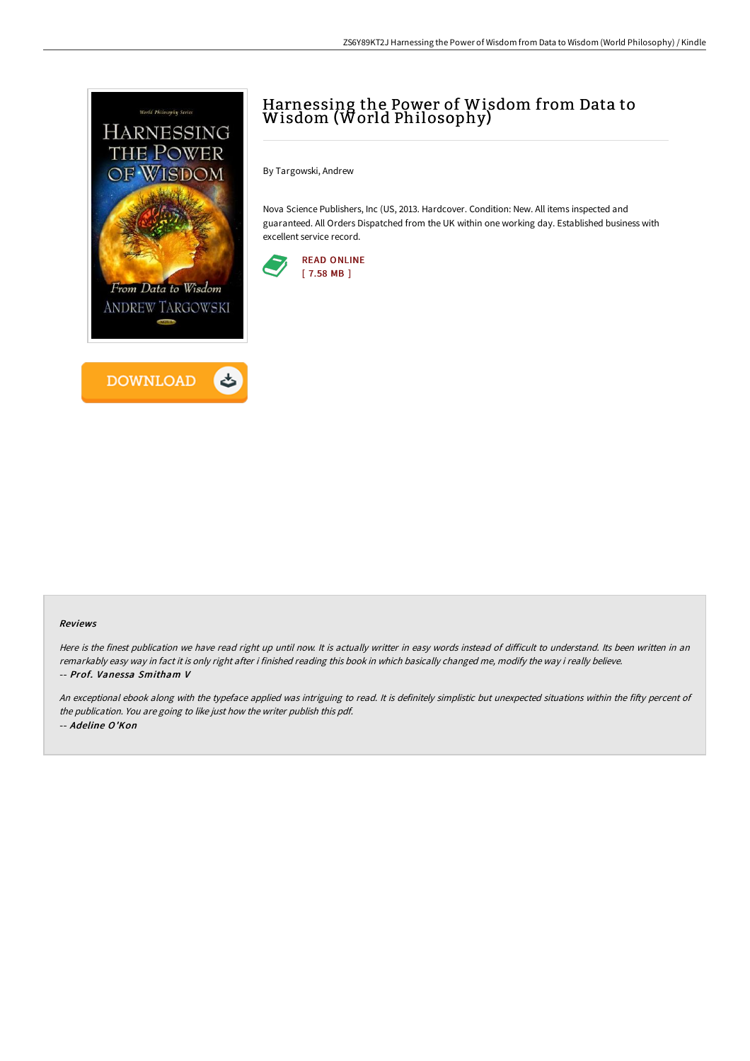



# Harnessing the Power of Wisdom from Data to Wisdom (World Philosophy)

By Targowski, Andrew

Nova Science Publishers, Inc (US, 2013. Hardcover. Condition: New. All items inspected and guaranteed. All Orders Dispatched from the UK within one working day. Established business with excellent service record.



#### Reviews

Here is the finest publication we have read right up until now. It is actually writter in easy words instead of difficult to understand. Its been written in an remarkably easy way in fact it is only right after i finished reading this book in which basically changed me, modify the way i really believe. -- Prof. Vanessa Smitham V

An exceptional ebook along with the typeface applied was intriguing to read. It is definitely simplistic but unexpected situations within the fifty percent of the publication. You are going to like just how the writer publish this pdf. -- Adeline O'Kon